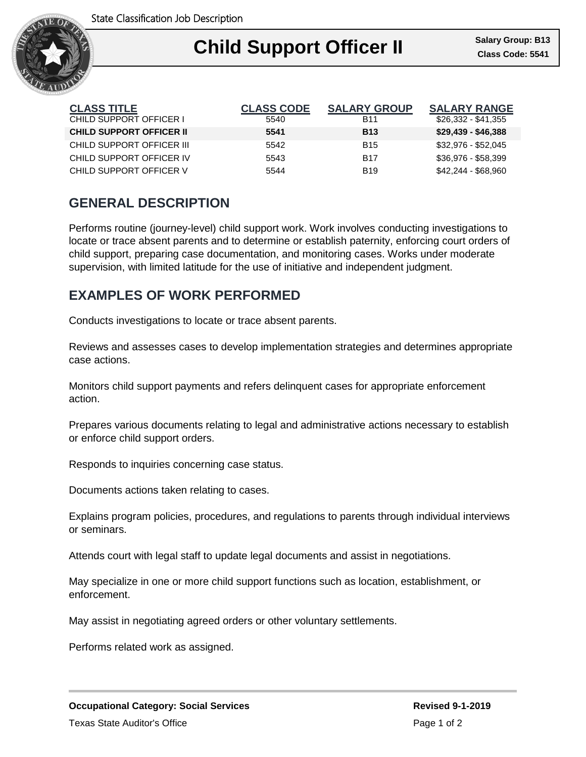

## Ι **Child Support Officer II Class Code: 5541**

| <b>CLASS TITLE</b>              | <b>CLASS CODE</b> | <b>SALARY GROUP</b> | <b>SALARY RANGE</b> |
|---------------------------------|-------------------|---------------------|---------------------|
| CHILD SUPPORT OFFICER I         | 5540              | B11                 | \$26,332 - \$41,355 |
| <b>CHILD SUPPORT OFFICER II</b> | 5541              | <b>B13</b>          | $$29,439 - $46,388$ |
| CHILD SUPPORT OFFICER III       | 5542              | <b>B15</b>          | \$32,976 - \$52,045 |
| CHILD SUPPORT OFFICER IV        | 5543              | <b>B17</b>          | \$36,976 - \$58,399 |
| CHILD SUPPORT OFFICER V         | 5544              | <b>B19</b>          | \$42,244 - \$68,960 |

## **GENERAL DESCRIPTION**

Performs routine (journey-level) child support work. Work involves conducting investigations to locate or trace absent parents and to determine or establish paternity, enforcing court orders of child support, preparing case documentation, and monitoring cases. Works under moderate supervision, with limited latitude for the use of initiative and independent judgment.

## **EXAMPLES OF WORK PERFORMED**

Conducts investigations to locate or trace absent parents.

Reviews and assesses cases to develop implementation strategies and determines appropriate case actions.

Monitors child support payments and refers delinquent cases for appropriate enforcement action.

Prepares various documents relating to legal and administrative actions necessary to establish or enforce child support orders.

Responds to inquiries concerning case status.

Documents actions taken relating to cases.

Explains program policies, procedures, and regulations to parents through individual interviews or seminars.

Attends court with legal staff to update legal documents and assist in negotiations.

May specialize in one or more child support functions such as location, establishment, or enforcement.

May assist in negotiating agreed orders or other voluntary settlements.

Performs related work as assigned.